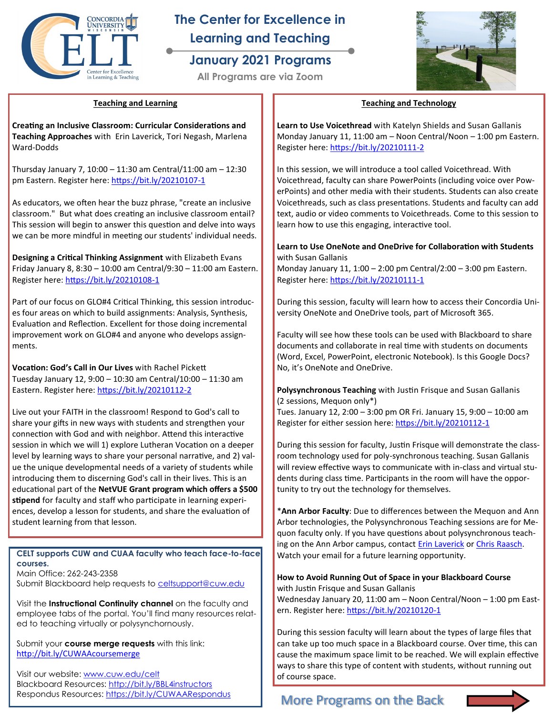

# **The Center for Excellence in Learning and Teaching**

## **January 2021 Programs**

**All Programs are via Zoom**



### **Teaching and Learning**

**Creating an Inclusive Classroom: Curricular Considerations and Teaching Approaches** with Erin Laverick, Tori Negash, Marlena Ward-Dodds

Thursday January 7, 10:00 – 11:30 am Central/11:00 am – 12:30 pm Eastern. Register here: [https://bit.ly/20210107](https://bit.ly/20210107-1)-1

As educators, we often hear the buzz phrase, "create an inclusive classroom." But what does creating an inclusive classroom entail? This session will begin to answer this question and delve into ways we can be more mindful in meeting our students' individual needs.

**Designing a Critical Thinking Assignment** with Elizabeth Evans Friday January 8, 8:30 – 10:00 am Central/9:30 – 11:00 am Eastern. Register here: [https://bit.ly/20210108](https://bit.ly/20210108-1)-1

Part of our focus on GLO#4 Critical Thinking, this session introduces four areas on which to build assignments: Analysis, Synthesis, Evaluation and Reflection. Excellent for those doing incremental improvement work on GLO#4 and anyone who develops assignments.

**Vocation: God's Call in Our Lives** with Rachel Pickett Tuesday January 12, 9:00 – 10:30 am Central/10:00 – 11:30 am Eastern. Register here: [https://bit.ly/20210112](https://bit.ly/20210112-2)-2

Live out your FAITH in the classroom! Respond to God's call to share your gifts in new ways with students and strengthen your connection with God and with neighbor. Attend this interactive session in which we will 1) explore Lutheran Vocation on a deeper level by learning ways to share your personal narrative, and 2) value the unique developmental needs of a variety of students while introducing them to discerning God's call in their lives. This is an educational part of the **NetVUE Grant program which offers a \$500 stipend** for faculty and staff who participate in learning experiences, develop a lesson for students, and share the evaluation of student learning from that lesson.

**CELT supports CUW and CUAA faculty who teach face-to-face courses.** Main Office: 262-243-2358

Submit Blackboard help requests to [celtsupport@cuw.edu](mailto:celtsupport@cuw.edu)

Visit the **Instructional Continuity channel** on the faculty and employee tabs of the portal. You'll find many resources related to teaching virtually or polysynchornously.

Submit your **course merge requests** with this link: <http://bit.ly/CUWAAcoursemerge>

Visit our website: [www.cuw.edu/celt](https://www.cuw.edu/departments/celt/index.html) Blackboard Resources: http://bit.ly/BBL4instructors Respondus Resources:<https://bit.ly/CUWAARespondus>

### **Teaching and Technology**

**Learn to Use Voicethread** with Katelyn Shields and Susan Gallanis Monday January 11, 11:00 am – Noon Central/Noon – 1:00 pm Eastern. Register here: [https://bit.ly/20210111](https://bit.ly/20210111-2)-2

In this session, we will introduce a tool called Voicethread. With Voicethread, faculty can share PowerPoints (including voice over PowerPoints) and other media with their students. Students can also create Voicethreads, such as class presentations. Students and faculty can add text, audio or video comments to Voicethreads. Come to this session to learn how to use this engaging, interactive tool.

### **Learn to Use OneNote and OneDrive for Collaboration with Students**  with Susan Gallanis

Monday January 11, 1:00 – 2:00 pm Central/2:00 – 3:00 pm Eastern. Register here: [https://bit.ly/20210111](https://bit.ly/20210111-1)-1

During this session, faculty will learn how to access their Concordia University OneNote and OneDrive tools, part of Microsoft 365.

Faculty will see how these tools can be used with Blackboard to share documents and collaborate in real time with students on documents (Word, Excel, PowerPoint, electronic Notebook). Is this Google Docs? No, it's OneNote and OneDrive.

**Polysynchronous Teaching** with Justin Frisque and Susan Gallanis (2 sessions, Mequon only\*)

Tues. January 12, 2:00 – 3:00 pm OR Fri. January 15, 9:00 – 10:00 am Register for either session here: [https://bit.ly/20210112](https://bit.ly/20210112-1)-1

During this session for faculty, Justin Frisque will demonstrate the classroom technology used for poly-synchronous teaching. Susan Gallanis will review effective ways to communicate with in-class and virtual students during class time. Participants in the room will have the opportunity to try out the technology for themselves.

\***Ann Arbor Faculty**: Due to differences between the Mequon and Ann Arbor technologies, the Polysynchronous Teaching sessions are for Mequon faculty only. If you have questions about polysynchronous teach-ing on the Ann Arbor campus, contact [Erin Laverick](mailto:erin.laverick@cuaa.edu) or Chris Raasch. Watch your email for a future learning opportunity.

#### **How to Avoid Running Out of Space in your Blackboard Course**  with Justin Frisque and Susan Gallanis

Wednesday January 20, 11:00 am – Noon Central/Noon – 1:00 pm Eastern. Register here: [https://bit.ly/20210120](https://bit.ly/20210120-1)-1

During this session faculty will learn about the types of large files that can take up too much space in a Blackboard course. Over time, this can cause the maximum space limit to be reached. We will explain effective ways to share this type of content with students, without running out of course space.

### More Programs on the Back